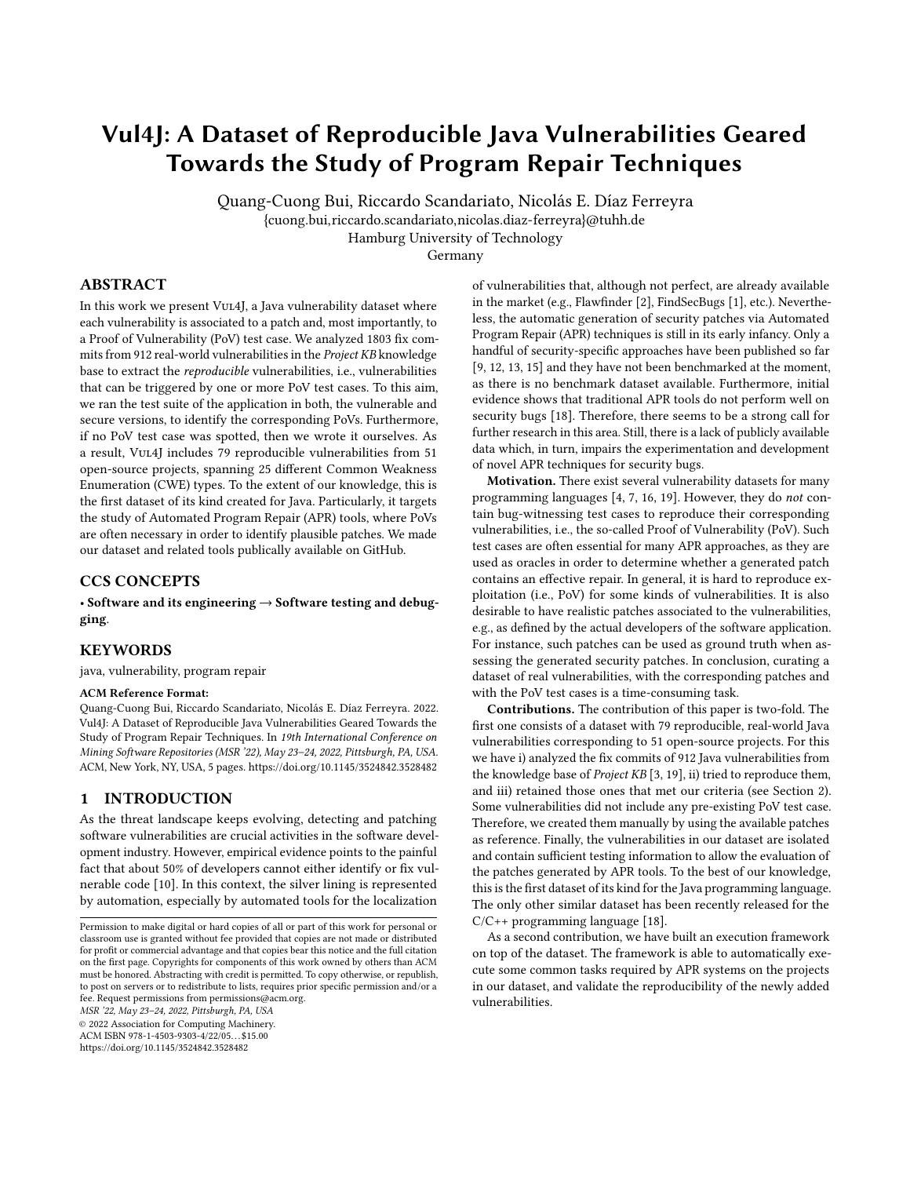# Vul4J: A Dataset of Reproducible Java Vulnerabilities Geared Towards the Study of Program Repair Techniques

Quang-Cuong Bui, Riccardo Scandariato, Nicolás E. Díaz Ferreyra {cuong.bui,riccardo.scandariato,nicolas.diaz-ferreyra}@tuhh.de Hamburg University of Technology

Germany

# ABSTRACT

In this work we present Vul4J, a Java vulnerability dataset where each vulnerability is associated to a patch and, most importantly, to a Proof of Vulnerability (PoV) test case. We analyzed 1803 fix commits from 912 real-world vulnerabilities in the Project KB knowledge base to extract the reproducible vulnerabilities, i.e., vulnerabilities that can be triggered by one or more PoV test cases. To this aim, we ran the test suite of the application in both, the vulnerable and secure versions, to identify the corresponding PoVs. Furthermore, if no PoV test case was spotted, then we wrote it ourselves. As a result, Vul4J includes 79 reproducible vulnerabilities from 51 open-source projects, spanning 25 different Common Weakness Enumeration (CWE) types. To the extent of our knowledge, this is the first dataset of its kind created for Java. Particularly, it targets the study of Automated Program Repair (APR) tools, where PoVs are often necessary in order to identify plausible patches. We made our dataset and related tools publically available on GitHub.

# CCS CONCEPTS

• Software and its engineering → Software testing and debugging.

#### KEYWORDS

java, vulnerability, program repair

#### ACM Reference Format:

Quang-Cuong Bui, Riccardo Scandariato, Nicolás E. Díaz Ferreyra. 2022. Vul4J: A Dataset of Reproducible Java Vulnerabilities Geared Towards the Study of Program Repair Techniques. In 19th International Conference on Mining Software Repositories (MSR '22), May 23–24, 2022, Pittsburgh, PA, USA. ACM, New York, NY, USA, [5](#page-4-0) pages.<https://doi.org/10.1145/3524842.3528482>

# <span id="page-0-0"></span>1 INTRODUCTION

As the threat landscape keeps evolving, detecting and patching software vulnerabilities are crucial activities in the software development industry. However, empirical evidence points to the painful fact that about 50% of developers cannot either identify or fix vulnerable code [\[10\]](#page-4-1). In this context, the silver lining is represented by automation, especially by automated tools for the localization

MSR '22, May 23–24, 2022, Pittsburgh, PA, USA

© 2022 Association for Computing Machinery.

ACM ISBN 978-1-4503-9303-4/22/05. . . \$15.00

<https://doi.org/10.1145/3524842.3528482>

of vulnerabilities that, although not perfect, are already available in the market (e.g., Flawfinder [\[2\]](#page-4-2), FindSecBugs [\[1\]](#page-4-3), etc.). Nevertheless, the automatic generation of security patches via Automated Program Repair (APR) techniques is still in its early infancy. Only a handful of security-specific approaches have been published so far [\[9,](#page-4-4) [12,](#page-4-5) [13,](#page-4-6) [15\]](#page-4-7) and they have not been benchmarked at the moment, as there is no benchmark dataset available. Furthermore, initial evidence shows that traditional APR tools do not perform well on security bugs [\[18\]](#page-4-8). Therefore, there seems to be a strong call for further research in this area. Still, there is a lack of publicly available data which, in turn, impairs the experimentation and development of novel APR techniques for security bugs.

Motivation. There exist several vulnerability datasets for many programming languages [\[4,](#page-4-9) [7,](#page-4-10) [16,](#page-4-11) [19\]](#page-4-12). However, they do not contain bug-witnessing test cases to reproduce their corresponding vulnerabilities, i.e., the so-called Proof of Vulnerability (PoV). Such test cases are often essential for many APR approaches, as they are used as oracles in order to determine whether a generated patch contains an effective repair. In general, it is hard to reproduce exploitation (i.e., PoV) for some kinds of vulnerabilities. It is also desirable to have realistic patches associated to the vulnerabilities, e.g., as defined by the actual developers of the software application. For instance, such patches can be used as ground truth when assessing the generated security patches. In conclusion, curating a dataset of real vulnerabilities, with the corresponding patches and with the PoV test cases is a time-consuming task.

Contributions. The contribution of this paper is two-fold. The first one consists of a dataset with 79 reproducible, real-world Java vulnerabilities corresponding to 51 open-source projects. For this we have i) analyzed the fix commits of 912 Java vulnerabilities from the knowledge base of Project KB [\[3,](#page-4-13) [19\]](#page-4-12), ii) tried to reproduce them, and iii) retained those ones that met our criteria (see Section [2\)](#page-1-0). Some vulnerabilities did not include any pre-existing PoV test case. Therefore, we created them manually by using the available patches as reference. Finally, the vulnerabilities in our dataset are isolated and contain sufficient testing information to allow the evaluation of the patches generated by APR tools. To the best of our knowledge, this is the first dataset of its kind for the Java programming language. The only other similar dataset has been recently released for the C/C++ programming language [\[18\]](#page-4-8).

As a second contribution, we have built an execution framework on top of the dataset. The framework is able to automatically execute some common tasks required by APR systems on the projects in our dataset, and validate the reproducibility of the newly added vulnerabilities.

Permission to make digital or hard copies of all or part of this work for personal or classroom use is granted without fee provided that copies are not made or distributed for profit or commercial advantage and that copies bear this notice and the full citation on the first page. Copyrights for components of this work owned by others than ACM must be honored. Abstracting with credit is permitted. To copy otherwise, or republish, to post on servers or to redistribute to lists, requires prior specific permission and/or a fee. Request permissions from permissions@acm.org.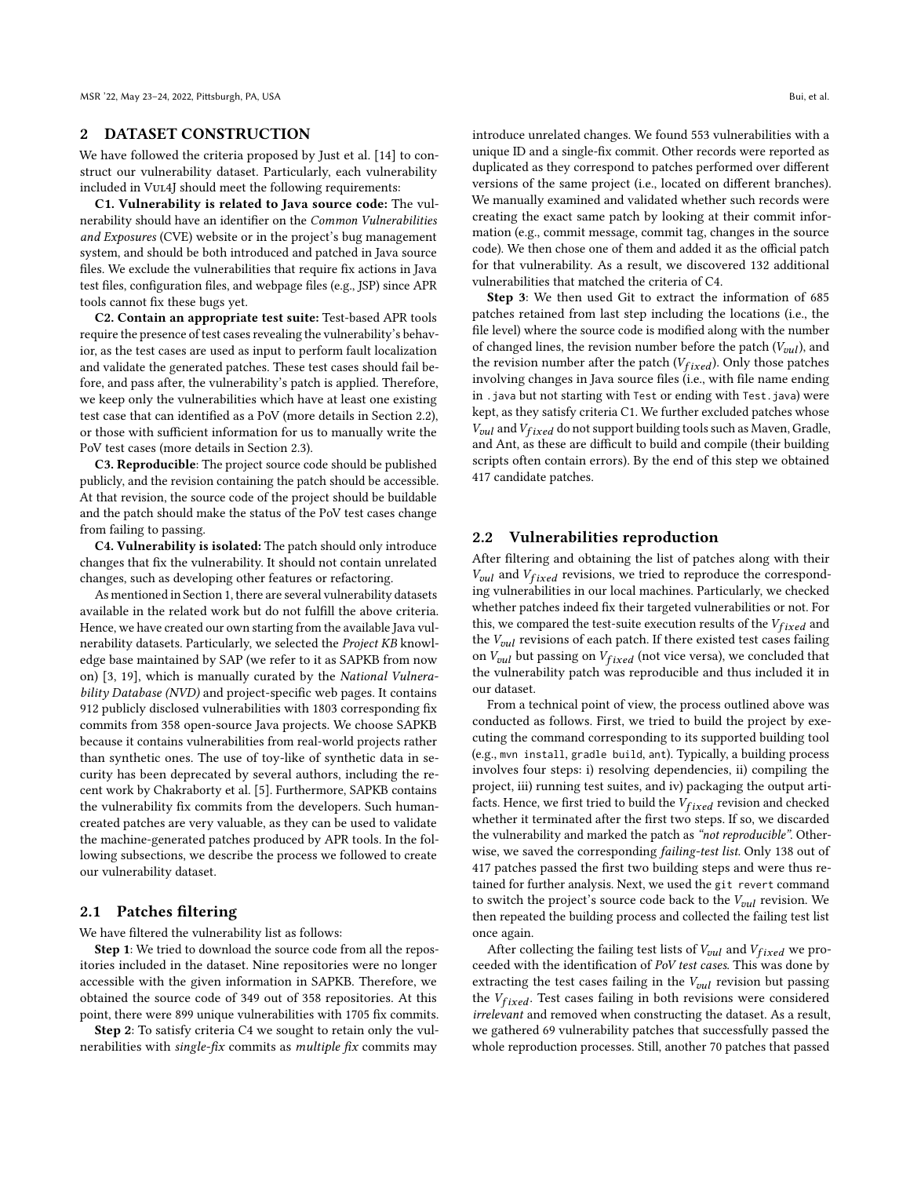#### <span id="page-1-0"></span>2 DATASET CONSTRUCTION

We have followed the criteria proposed by Just et al. [\[14\]](#page-4-14) to construct our vulnerability dataset. Particularly, each vulnerability included in Vul4J should meet the following requirements:

C1. Vulnerability is related to Java source code: The vulnerability should have an identifier on the Common Vulnerabilities and Exposures (CVE) website or in the project's bug management system, and should be both introduced and patched in Java source files. We exclude the vulnerabilities that require fix actions in Java test files, configuration files, and webpage files (e.g., JSP) since APR tools cannot fix these bugs yet.

C2. Contain an appropriate test suite: Test-based APR tools require the presence of test cases revealing the vulnerability's behavior, as the test cases are used as input to perform fault localization and validate the generated patches. These test cases should fail before, and pass after, the vulnerability's patch is applied. Therefore, we keep only the vulnerabilities which have at least one existing test case that can identified as a PoV (more details in Section [2.2\)](#page-1-1), or those with sufficient information for us to manually write the PoV test cases (more details in Section [2.3\)](#page-2-0).

C3. Reproducible: The project source code should be published publicly, and the revision containing the patch should be accessible. At that revision, the source code of the project should be buildable and the patch should make the status of the PoV test cases change from failing to passing.

C4. Vulnerability is isolated: The patch should only introduce changes that fix the vulnerability. It should not contain unrelated changes, such as developing other features or refactoring.

As mentioned in Section [1,](#page-0-0) there are several vulnerability datasets available in the related work but do not fulfill the above criteria. Hence, we have created our own starting from the available Java vulnerability datasets. Particularly, we selected the Project KB knowledge base maintained by SAP (we refer to it as SAPKB from now on) [\[3,](#page-4-13) [19\]](#page-4-12), which is manually curated by the National Vulnerability Database (NVD) and project-specific web pages. It contains 912 publicly disclosed vulnerabilities with 1803 corresponding fix commits from 358 open-source Java projects. We choose SAPKB because it contains vulnerabilities from real-world projects rather than synthetic ones. The use of toy-like of synthetic data in security has been deprecated by several authors, including the recent work by Chakraborty et al. [\[5\]](#page-4-15). Furthermore, SAPKB contains the vulnerability fix commits from the developers. Such humancreated patches are very valuable, as they can be used to validate the machine-generated patches produced by APR tools. In the following subsections, we describe the process we followed to create our vulnerability dataset.

#### 2.1 Patches filtering

We have filtered the vulnerability list as follows:

Step 1: We tried to download the source code from all the repositories included in the dataset. Nine repositories were no longer accessible with the given information in SAPKB. Therefore, we obtained the source code of 349 out of 358 repositories. At this point, there were 899 unique vulnerabilities with 1705 fix commits.

Step 2: To satisfy criteria C4 we sought to retain only the vulnerabilities with single-fix commits as multiple fix commits may

introduce unrelated changes. We found 553 vulnerabilities with a unique ID and a single-fix commit. Other records were reported as duplicated as they correspond to patches performed over different versions of the same project (i.e., located on different branches). We manually examined and validated whether such records were creating the exact same patch by looking at their commit information (e.g., commit message, commit tag, changes in the source code). We then chose one of them and added it as the official patch for that vulnerability. As a result, we discovered 132 additional vulnerabilities that matched the criteria of C4.

Step 3: We then used Git to extract the information of 685 patches retained from last step including the locations (i.e., the file level) where the source code is modified along with the number of changed lines, the revision number before the patch  $(V_{out}$ ), and the revision number after the patch  $(V_{fixed})$ . Only those patches involving changes in Java source files (i.e., with file name ending in .java but not starting with Test or ending with Test.java) were kept, as they satisfy criteria C1. We further excluded patches whose  $V_{vul}$  and  $V_{fixed}$  do not support building tools such as Maven, Gradle, and Ant, as these are difficult to build and compile (their building scripts often contain errors). By the end of this step we obtained 417 candidate patches.

#### <span id="page-1-1"></span>2.2 Vulnerabilities reproduction

After filtering and obtaining the list of patches along with their  $V_{\text{val}}$  and  $V_{\text{fixed}}$  revisions, we tried to reproduce the corresponding vulnerabilities in our local machines. Particularly, we checked whether patches indeed fix their targeted vulnerabilities or not. For this, we compared the test-suite execution results of the  $V_{fixed}$  and the  $V_{vul}$  revisions of each patch. If there existed test cases failing on  $V_{vul}$  but passing on  $V_{fixed}$  (not vice versa), we concluded that the vulnerability patch was reproducible and thus included it in our dataset.

From a technical point of view, the process outlined above was conducted as follows. First, we tried to build the project by executing the command corresponding to its supported building tool (e.g., mvn install, gradle build, ant). Typically, a building process involves four steps: i) resolving dependencies, ii) compiling the project, iii) running test suites, and iv) packaging the output artifacts. Hence, we first tried to build the  $V_{fixed}$  revision and checked whether it terminated after the first two steps. If so, we discarded the vulnerability and marked the patch as "not reproducible". Otherwise, we saved the corresponding failing-test list. Only 138 out of 417 patches passed the first two building steps and were thus retained for further analysis. Next, we used the git revert command to switch the project's source code back to the  $V_{vul}$  revision. We then repeated the building process and collected the failing test list once again.

After collecting the failing test lists of  $V_{vul}$  and  $V_{fixed}$  we proceeded with the identification of PoV test cases. This was done by extracting the test cases failing in the  $V_{\textit{vul}}$  revision but passing the  $V_{fixed}$ . Test cases failing in both revisions were considered irrelevant and removed when constructing the dataset. As a result, we gathered 69 vulnerability patches that successfully passed the whole reproduction processes. Still, another 70 patches that passed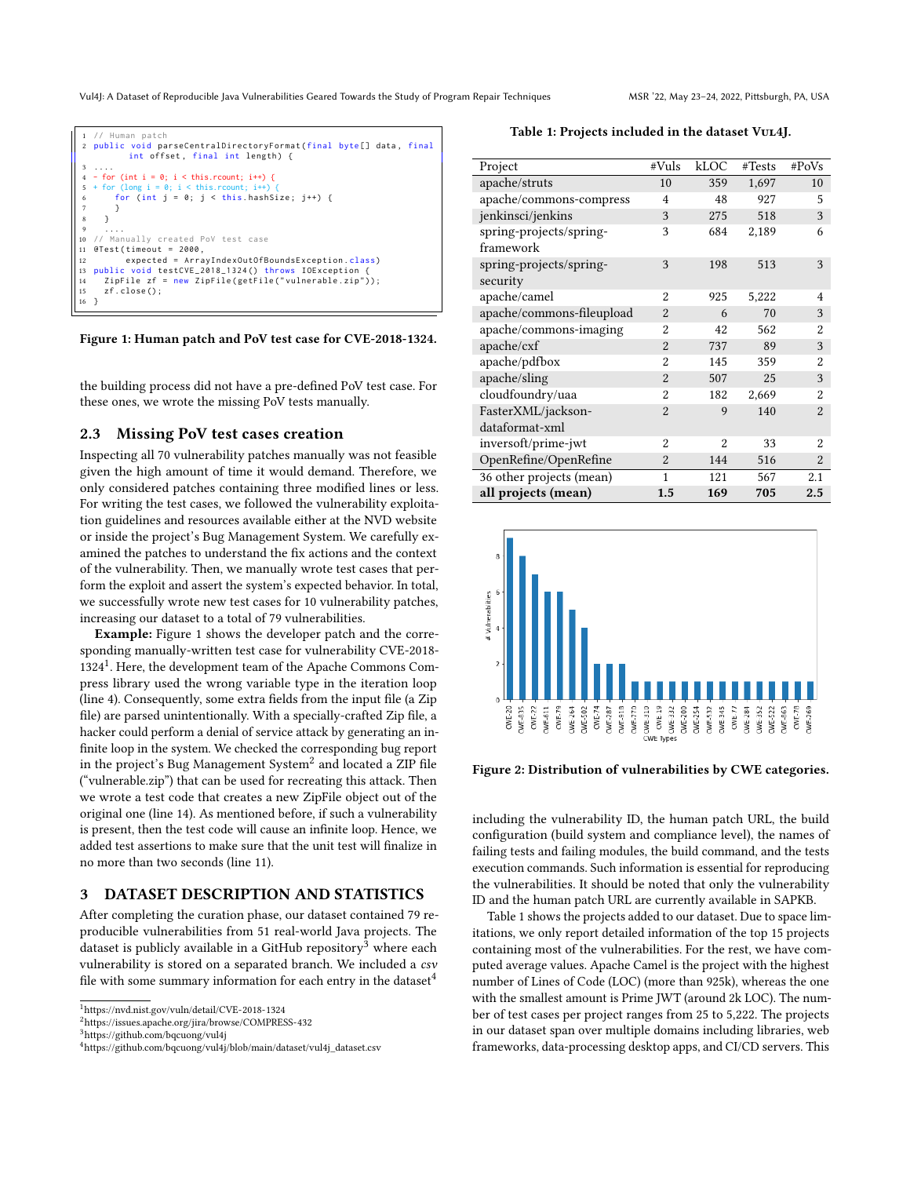Vul4J: A Dataset of Reproducible Java Vulnerabilities Geared Towards the Study of Program Repair Techniques MSR '22, May 23-24, 2022, Pittsburgh, PA, USA

<span id="page-2-1"></span>

Figure 1: Human patch and PoV test case for CVE-2018-1324.

the building process did not have a pre-defined PoV test case. For these ones, we wrote the missing PoV tests manually.

#### <span id="page-2-0"></span>2.3 Missing PoV test cases creation

Inspecting all 70 vulnerability patches manually was not feasible given the high amount of time it would demand. Therefore, we only considered patches containing three modified lines or less. For writing the test cases, we followed the vulnerability exploitation guidelines and resources available either at the NVD website or inside the project's Bug Management System. We carefully examined the patches to understand the fix actions and the context of the vulnerability. Then, we manually wrote test cases that perform the exploit and assert the system's expected behavior. In total, we successfully wrote new test cases for 10 vulnerability patches, increasing our dataset to a total of 79 vulnerabilities.

Example: Figure [1](#page-2-1) shows the developer patch and the corresponding manually-written test case for vulnerability CVE-2018- 1324[1](#page-2-2) . Here, the development team of the Apache Commons Compress library used the wrong variable type in the iteration loop (line 4). Consequently, some extra fields from the input file (a Zip file) are parsed unintentionally. With a specially-crafted Zip file, a hacker could perform a denial of service attack by generating an infinite loop in the system. We checked the corresponding bug report in the project's Bug Management System $^2$  $^2$  and located a ZIP file ("vulnerable.zip") that can be used for recreating this attack. Then we wrote a test code that creates a new ZipFile object out of the original one (line 14). As mentioned before, if such a vulnerability is present, then the test code will cause an infinite loop. Hence, we added test assertions to make sure that the unit test will finalize in no more than two seconds (line 11).

#### 3 DATASET DESCRIPTION AND STATISTICS

After completing the curation phase, our dataset contained 79 reproducible vulnerabilities from 51 real-world Java projects. The dataset is publicly available in a GitHub repository<sup>[3](#page-2-4)</sup> where each vulnerability is stored on a separated branch. We included a csv file with some summary information for each entry in the dataset<sup>[4](#page-2-5)</sup>

<span id="page-2-2"></span><sup>1</sup><https://nvd.nist.gov/vuln/detail/CVE-2018-1324>

<span id="page-2-4"></span><sup>3</sup><https://github.com/bqcuong/vul4j>

<span id="page-2-6"></span>Table 1: Projects included in the dataset VUL4J.

| Project                   | #Vuls          | kLOC           | #Tests | #PoVs          |
|---------------------------|----------------|----------------|--------|----------------|
| apache/struts             | 10             | 359            | 1,697  | 10             |
| apache/commons-compress   | 4              | 48             | 927    | 5              |
| jenkinsci/jenkins         | 3              | 275            | 518    | 3              |
| spring-projects/spring-   | 3              | 684            | 2,189  | 6              |
| framework                 |                |                |        |                |
| spring-projects/spring-   | 3              | 198            | 513    | 3              |
| security                  |                |                |        |                |
| apache/camel              | $\overline{2}$ | 925            | 5,222  | 4              |
| apache/commons-fileupload | $\overline{2}$ | 6              | 70     | 3              |
| apache/commons-imaging    | $\overline{2}$ | 42             | 562    | $\overline{2}$ |
| apache/cxf                | $\overline{2}$ | 737            | 89     | 3              |
| apache/pdfbox             | $\overline{2}$ | 145            | 359    | $\overline{2}$ |
| apache/sling              | $\overline{2}$ | 507            | 25     | 3              |
| cloudfoundry/uaa          | $\overline{2}$ | 182            | 2,669  | $\overline{2}$ |
| FasterXML/jackson-        | $\overline{2}$ | 9              | 140    | $\overline{2}$ |
| dataformat-xml            |                |                |        |                |
| inversoft/prime-jwt       | $\mathfrak{D}$ | $\mathfrak{D}$ | 33     | $\mathcal{D}$  |
| OpenRefine/OpenRefine     | $\overline{2}$ | 144            | 516    | $\overline{2}$ |
| 36 other projects (mean)  | $\mathbf{1}$   | 121            | 567    | 2.1            |
| all projects (mean)       | 1.5            | 169            | 705    | 2.5            |

<span id="page-2-7"></span>

Figure 2: Distribution of vulnerabilities by CWE categories.

including the vulnerability ID, the human patch URL, the build configuration (build system and compliance level), the names of failing tests and failing modules, the build command, and the tests execution commands. Such information is essential for reproducing the vulnerabilities. It should be noted that only the vulnerability ID and the human patch URL are currently available in SAPKB.

Table [1](#page-2-6) shows the projects added to our dataset. Due to space limitations, we only report detailed information of the top 15 projects containing most of the vulnerabilities. For the rest, we have computed average values. Apache Camel is the project with the highest number of Lines of Code (LOC) (more than 925k), whereas the one with the smallest amount is Prime JWT (around 2k LOC). The number of test cases per project ranges from 25 to 5,222. The projects in our dataset span over multiple domains including libraries, web frameworks, data-processing desktop apps, and CI/CD servers. This

<span id="page-2-3"></span><sup>2</sup><https://issues.apache.org/jira/browse/COMPRESS-432>

<span id="page-2-5"></span><sup>4</sup>[https://github.com/bqcuong/vul4j/blob/main/dataset/vul4j\\_dataset.csv](https://github.com/bqcuong/vul4j/blob/main/dataset/vul4j_dataset.csv)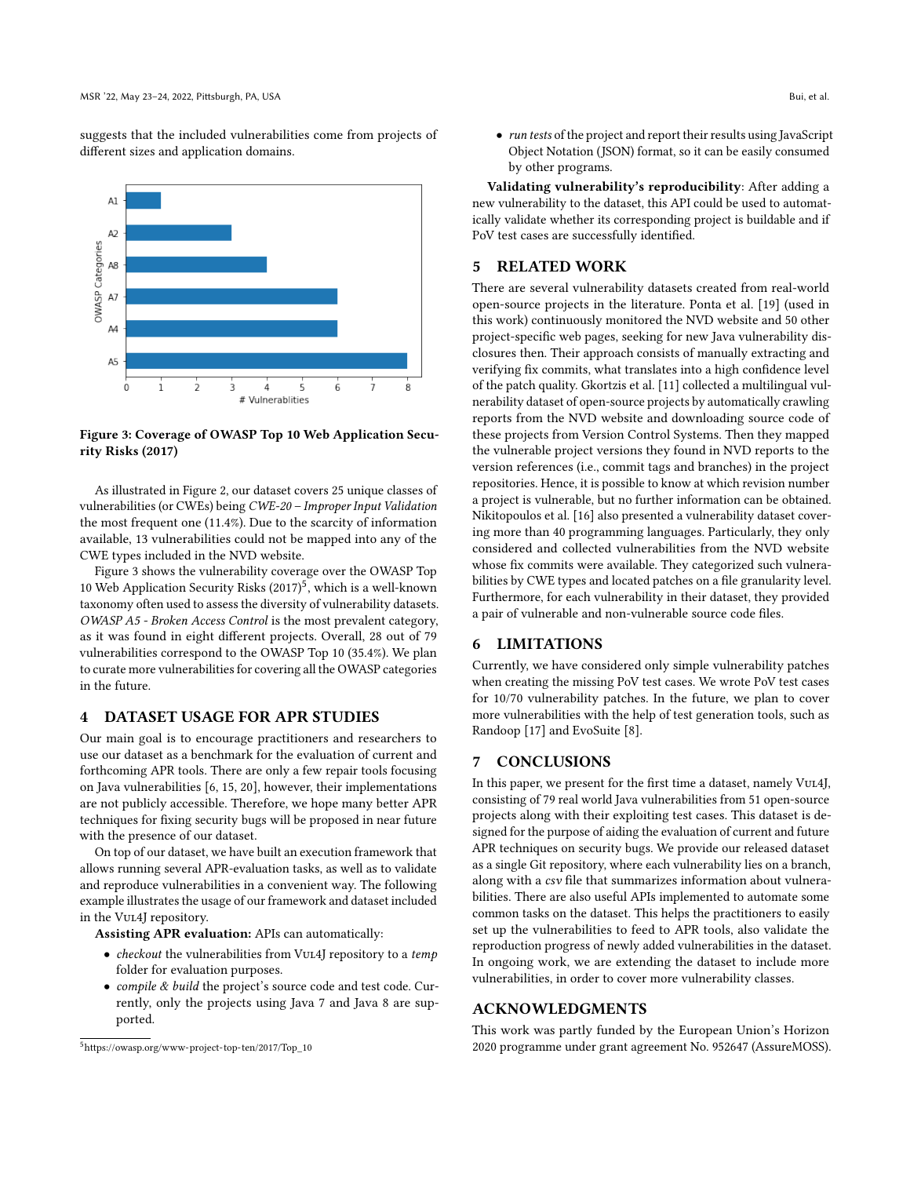suggests that the included vulnerabilities come from projects of different sizes and application domains.

<span id="page-3-0"></span>

Figure 3: Coverage of OWASP Top 10 Web Application Security Risks (2017)

As illustrated in Figure [2,](#page-2-7) our dataset covers 25 unique classes of vulnerabilities (or CWEs) being CWE-20 – Improper Input Validation the most frequent one (11.4%). Due to the scarcity of information available, 13 vulnerabilities could not be mapped into any of the CWE types included in the NVD website.

Figure [3](#page-3-0) shows the vulnerability coverage over the OWASP Top 10 Web Application Security Risks (2017)<sup>[5](#page-3-1)</sup>, which is a well-known taxonomy often used to assess the diversity of vulnerability datasets. OWASP A5 - Broken Access Control is the most prevalent category, as it was found in eight different projects. Overall, 28 out of 79 vulnerabilities correspond to the OWASP Top 10 (35.4%). We plan to curate more vulnerabilities for covering all the OWASP categories in the future.

#### 4 DATASET USAGE FOR APR STUDIES

Our main goal is to encourage practitioners and researchers to use our dataset as a benchmark for the evaluation of current and forthcoming APR tools. There are only a few repair tools focusing on Java vulnerabilities [\[6,](#page-4-16) [15,](#page-4-7) [20\]](#page-4-17), however, their implementations are not publicly accessible. Therefore, we hope many better APR techniques for fixing security bugs will be proposed in near future with the presence of our dataset.

On top of our dataset, we have built an execution framework that allows running several APR-evaluation tasks, as well as to validate and reproduce vulnerabilities in a convenient way. The following example illustrates the usage of our framework and dataset included in the Vul4J repository.

Assisting APR evaluation: APIs can automatically:

- checkout the vulnerabilities from Vul4J repository to a temp folder for evaluation purposes.
- compile & build the project's source code and test code. Currently, only the projects using Java 7 and Java 8 are supported.

Validating vulnerability's reproducibility: After adding a new vulnerability to the dataset, this API could be used to automatically validate whether its corresponding project is buildable and if PoV test cases are successfully identified.

# 5 RELATED WORK

There are several vulnerability datasets created from real-world open-source projects in the literature. Ponta et al. [\[19\]](#page-4-12) (used in this work) continuously monitored the NVD website and 50 other project-specific web pages, seeking for new Java vulnerability disclosures then. Their approach consists of manually extracting and verifying fix commits, what translates into a high confidence level of the patch quality. Gkortzis et al. [\[11\]](#page-4-18) collected a multilingual vulnerability dataset of open-source projects by automatically crawling reports from the NVD website and downloading source code of these projects from Version Control Systems. Then they mapped the vulnerable project versions they found in NVD reports to the version references (i.e., commit tags and branches) in the project repositories. Hence, it is possible to know at which revision number a project is vulnerable, but no further information can be obtained. Nikitopoulos et al. [\[16\]](#page-4-11) also presented a vulnerability dataset covering more than 40 programming languages. Particularly, they only considered and collected vulnerabilities from the NVD website whose fix commits were available. They categorized such vulnerabilities by CWE types and located patches on a file granularity level. Furthermore, for each vulnerability in their dataset, they provided a pair of vulnerable and non-vulnerable source code files.

## 6 LIMITATIONS

Currently, we have considered only simple vulnerability patches when creating the missing PoV test cases. We wrote PoV test cases for 10/70 vulnerability patches. In the future, we plan to cover more vulnerabilities with the help of test generation tools, such as Randoop [\[17\]](#page-4-19) and EvoSuite [\[8\]](#page-4-20).

# 7 CONCLUSIONS

In this paper, we present for the first time a dataset, namely Vul4J, consisting of 79 real world Java vulnerabilities from 51 open-source projects along with their exploiting test cases. This dataset is designed for the purpose of aiding the evaluation of current and future APR techniques on security bugs. We provide our released dataset as a single Git repository, where each vulnerability lies on a branch, along with a csv file that summarizes information about vulnerabilities. There are also useful APIs implemented to automate some common tasks on the dataset. This helps the practitioners to easily set up the vulnerabilities to feed to APR tools, also validate the reproduction progress of newly added vulnerabilities in the dataset. In ongoing work, we are extending the dataset to include more vulnerabilities, in order to cover more vulnerability classes.

#### ACKNOWLEDGMENTS

This work was partly funded by the European Union's Horizon 2020 programme under grant agreement No. 952647 (AssureMOSS).

<span id="page-3-1"></span><sup>5</sup>[https://owasp.org/www-project-top-ten/2017/Top\\_10](https://owasp.org/www-project-top-ten/2017/Top_10)